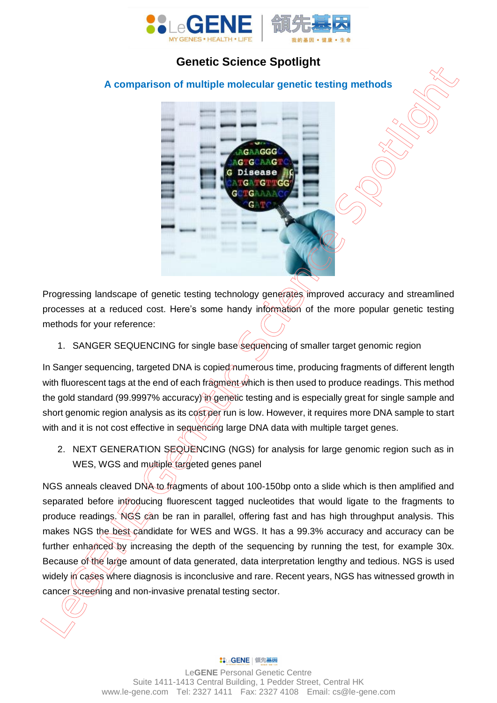

## **Genetic Science Spotlight**

## **A comparison of multiple molecular genetic testing methods**



Progressing landscape of genetic testing technology generates improved accuracy and streamlined processes at a reduced cost. Here's some handy information of the more popular genetic testing methods for your reference:

1. SANGER SEQUENCING for single base sequencing of smaller target genomic region

In Sanger sequencing, targeted DNA is copied numerous time, producing fragments of different length with fluorescent tags at the end of each fragment which is then used to produce readings. This method the gold standard (99.9997% accuracy) in genetic testing and is especially great for single sample and short genomic region analysis as its cost per run is low. However, it requires more DNA sample to start with and it is not cost effective in sequencing large DNA data with multiple target genes.

2. NEXT GENERATION SEQUENCING (NGS) for analysis for large genomic region such as in WES, WGS and multiple targeted genes panel

NGS anneals cleaved DNA to fragments of about 100-150bp onto a slide which is then amplified and separated before introducing fluorescent tagged nucleotides that would ligate to the fragments to produce readings. NGS can be ran in parallel, offering fast and has high throughput analysis. This makes NGS the best candidate for WES and WGS. It has a 99.3% accuracy and accuracy can be further enhanced by increasing the depth of the sequencing by running the test, for example 30x. Because of the large amount of data generated, data interpretation lengthy and tedious. NGS is used widely in cases where diagnosis is inconclusive and rare. Recent years, NGS has witnessed growth in comparison of multiple enological representations and and non-invasive prendict in the sequencity of the sequencity of the sector properties of the star stress of the star stress of the star stress of the star stress of th

## %LeGENE | 領先基因

Le**GENE** Personal Genetic Centre Suite 1411-1413 Central Building, 1 Pedder Street, Central HK www.le-gene.com Tel: 2327 1411 Fax: 2327 4108 Email: cs@le-gene.com